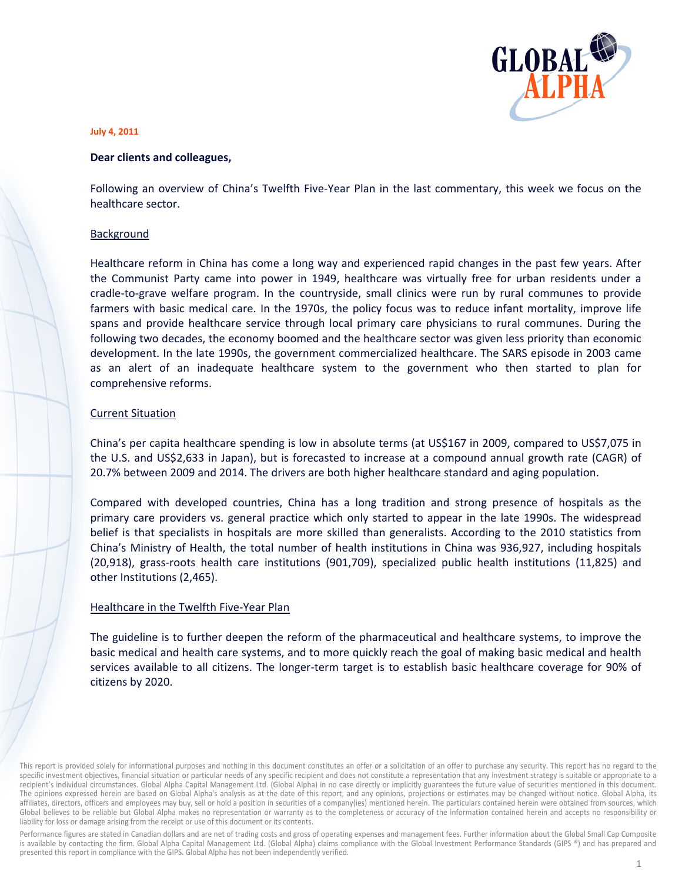

#### **July 4, 2011**

#### Dear clients and colleagues,

Following an overview of China's Twelfth Five-Year Plan in the last commentary, this week we focus on the healthcare sector.

#### Background

Healthcare reform in China has come a long way and experienced rapid changes in the past few years. After the Communist Party came into power in 1949, healthcare was virtually free for urban residents under a cradle-to-grave welfare program. In the countryside, small clinics were run by rural communes to provide farmers with basic medical care. In the 1970s, the policy focus was to reduce infant mortality, improve life spans and provide healthcare service through local primary care physicians to rural communes. During the following two decades, the economy boomed and the healthcare sector was given less priority than economic development. In the late 1990s, the government commercialized healthcare. The SARS episode in 2003 came as an alert of an inadequate healthcare system to the government who then started to plan for comprehensive reforms.

# **Current Situation**

China's per capita healthcare spending is low in absolute terms (at US\$167 in 2009, compared to US\$7,075 in the U.S. and US\$2,633 in Japan), but is forecasted to increase at a compound annual growth rate (CAGR) of 20.7% between 2009 and 2014. The drivers are both higher healthcare standard and aging population.

Compared with developed countries, China has a long tradition and strong presence of hospitals as the primary care providers vs. general practice which only started to appear in the late 1990s. The widespread belief is that specialists in hospitals are more skilled than generalists. According to the 2010 statistics from China's Ministry of Health, the total number of health institutions in China was 936,927, including hospitals (20,918), grass-roots health care institutions (901,709), specialized public health institutions (11,825) and other Institutions (2,465).

# Healthcare in the Twelfth Five-Year Plan

The guideline is to further deepen the reform of the pharmaceutical and healthcare systems, to improve the basic medical and health care systems, and to more quickly reach the goal of making basic medical and health services available to all citizens. The longer-term target is to establish basic healthcare coverage for 90% of citizens by 2020.

Performance figures are stated in Canadian dollars and are net of trading costs and gross of operating expenses and management fees. Further information about the Global Small Cap Composite is available by contacting the firm. Global Alpha Capital Management Ltd. (Global Alpha) claims compliance with the Global Investment Performance Standards (GIPS ®) and has prepared and presented this report in compliance with the GIPS. Global Alpha has not been independently verified.

This report is provided solely for informational purposes and nothing in this document constitutes an offer or a solicitation of an offer to purchase any security. This report has no regard to the specific investment objectives, financial situation or particular needs of any specific recipient and does not constitute a representation that any investment strategy is suitable or appropriate to a recipient's individual circumstances. Global Alpha Capital Management Ltd. (Global Alpha) in no case directly or implicitly guarantees the future value of securities mentioned in this document. The opinions expressed herein are based on Global Alpha's analysis as at the date of this report, and any opinions, projections or estimates may be changed without notice. Global Alpha, its affiliates, directors, officers and employees may buy, sell or hold a position in securities of a company(ies) mentioned herein. The particulars contained herein were obtained from sources, which Global believes to be reliable but Global Alpha makes no representation or warranty as to the completeness or accuracy of the information contained herein and accepts no responsibility or liability for loss or damage arising from the receipt or use of this document or its contents.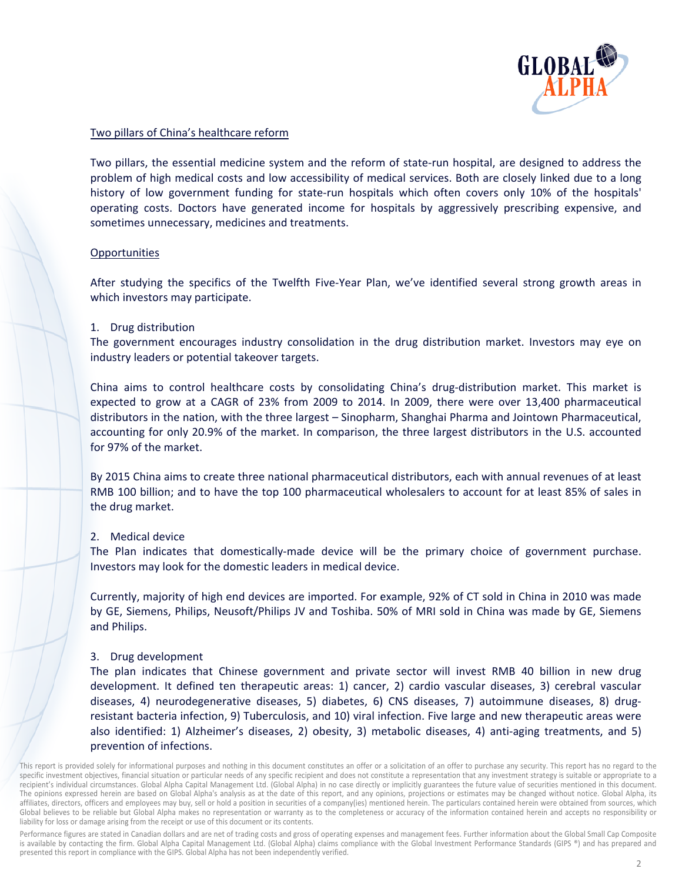

# Two pillars of China's healthcare reform

Two pillars, the essential medicine system and the reform of state-run hospital, are designed to address the problem of high medical costs and low accessibility of medical services. Both are closely linked due to a long history of low government funding for state-run hospitals which often covers only 10% of the hospitals' operating costs. Doctors have generated income for hospitals by aggressively prescribing expensive, and sometimes unnecessary, medicines and treatments.

# Opportunities

After studying the specifics of the Twelfth Five-Year Plan, we've identified several strong growth areas in which investors may participate.

# 1. Drug distribution

The government encourages industry consolidation in the drug distribution market. Investors may eye on industry leaders or potential takeover targets.

China aims to control healthcare costs by consolidating China's drug-distribution market. This market is expected to grow at a CAGR of 23% from 2009 to 2014. In 2009, there were over 13,400 pharmaceutical distributors in the nation, with the three largest - Sinopharm, Shanghai Pharma and Jointown Pharmaceutical, accounting for only 20.9% of the market. In comparison, the three largest distributors in the U.S. accounted for 97% of the market.

By 2015 China aims to create three national pharmaceutical distributors, each with annual revenues of at least RMB 100 billion; and to have the top 100 pharmaceutical wholesalers to account for at least 85% of sales in the drug market.

# 2. Medical device

The Plan indicates that domestically-made device will be the primary choice of government purchase. Investors may look for the domestic leaders in medical device.

Currently, majority of high end devices are imported. For example, 92% of CT sold in China in 2010 was made by GE, Siemens, Philips, Neusoft/Philips JV and Toshiba. 50% of MRI sold in China was made by GE, Siemens and Philips.

# 3. Drug development

The plan indicates that Chinese government and private sector will invest RMB 40 billion in new drug development. It defined ten therapeutic areas: 1) cancer, 2) cardio vascular diseases, 3) cerebral vascular diseases, 4) neurodegenerative diseases, 5) diabetes, 6) CNS diseases, 7) autoimmune diseases, 8) drugresistant bacteria infection, 9) Tuberculosis, and 10) viral infection. Five large and new therapeutic areas were also identified: 1) Alzheimer's diseases, 2) obesity, 3) metabolic diseases, 4) anti-aging treatments, and 5) prevention of infections.

Performance figures are stated in Canadian dollars and are net of trading costs and gross of operating expenses and management fees. Further information about the Global Small Cap Composite is available by contacting the firm. Global Alpha Capital Management Ltd. (Global Alpha) claims compliance with the Global Investment Performance Standards (GIPS ®) and has prepared and presented this report in compliance with the GIPS. Global Alpha has not been independently verified.

This report is provided solely for informational purposes and nothing in this document constitutes an offer or a solicitation of an offer to purchase any security. This report has no regard to the specific investment objectives, financial situation or particular needs of any specific recipient and does not constitute a representation that any investment strategy is suitable or appropriate to a recipient's individual circumstances. Global Alpha Capital Management Ltd. (Global Alpha) in no case directly or implicitly guarantees the future value of securities mentioned in this document. The opinions expressed herein are based on Global Alpha's analysis as at the date of this report, and any opinions, projections or estimates may be changed without notice. Global Alpha, its affiliates, directors, officers and employees may buy, sell or hold a position in securities of a company(ies) mentioned herein. The particulars contained herein were obtained from sources, which Global believes to be reliable but Global Alpha makes no representation or warranty as to the completeness or accuracy of the information contained herein and accepts no responsibility or liability for loss or damage arising from the receipt or use of this document or its contents.